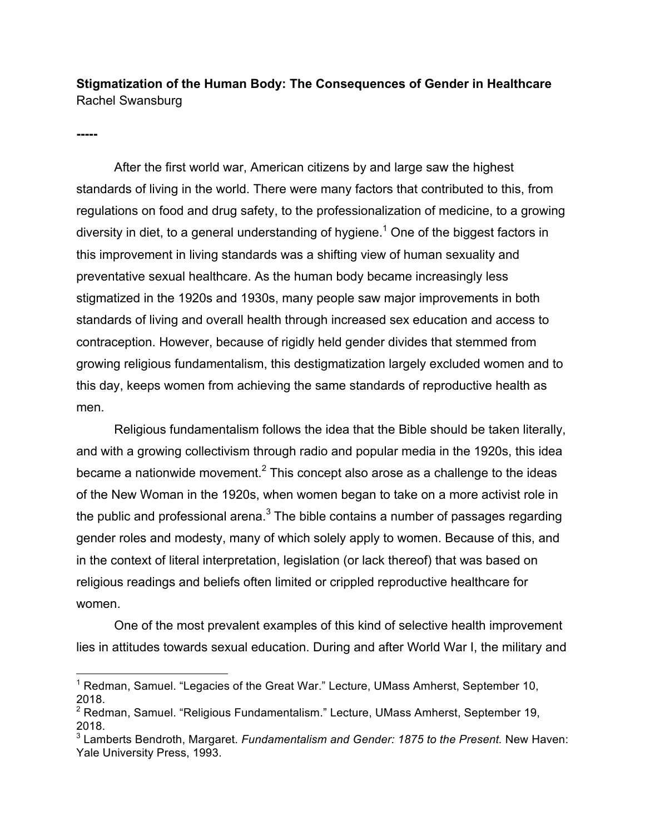**Stigmatization of the Human Body: The Consequences of Gender in Healthcare** Rachel Swansburg

**-----**

After the first world war, American citizens by and large saw the highest standards of living in the world. There were many factors that contributed to this, from regulations on food and drug safety, to the professionalization of medicine, to a growing diversity in diet, to a general understanding of hygiene.<sup>1</sup> One of the biggest factors in this improvement in living standards was a shifting view of human sexuality and preventative sexual healthcare. As the human body became increasingly less stigmatized in the 1920s and 1930s, many people saw major improvements in both standards of living and overall health through increased sex education and access to contraception. However, because of rigidly held gender divides that stemmed from growing religious fundamentalism, this destigmatization largely excluded women and to this day, keeps women from achieving the same standards of reproductive health as men.

Religious fundamentalism follows the idea that the Bible should be taken literally, and with a growing collectivism through radio and popular media in the 1920s, this idea became a nationwide movement.<sup>2</sup> This concept also arose as a challenge to the ideas of the New Woman in the 1920s, when women began to take on a more activist role in the public and professional arena. $3$  The bible contains a number of passages regarding gender roles and modesty, many of which solely apply to women. Because of this, and in the context of literal interpretation, legislation (or lack thereof) that was based on religious readings and beliefs often limited or crippled reproductive healthcare for women.

One of the most prevalent examples of this kind of selective health improvement lies in attitudes towards sexual education. During and after World War I, the military and

 $1$  Redman, Samuel. "Legacies of the Great War." Lecture, UMass Amherst, September 10, 2018.

<sup>2</sup> Redman, Samuel. "Religious Fundamentalism." Lecture, UMass Amherst, September 19, 2018.

<sup>3</sup> Lamberts Bendroth, Margaret. *Fundamentalism and Gender: 1875 to the Present.* New Haven: Yale University Press, 1993.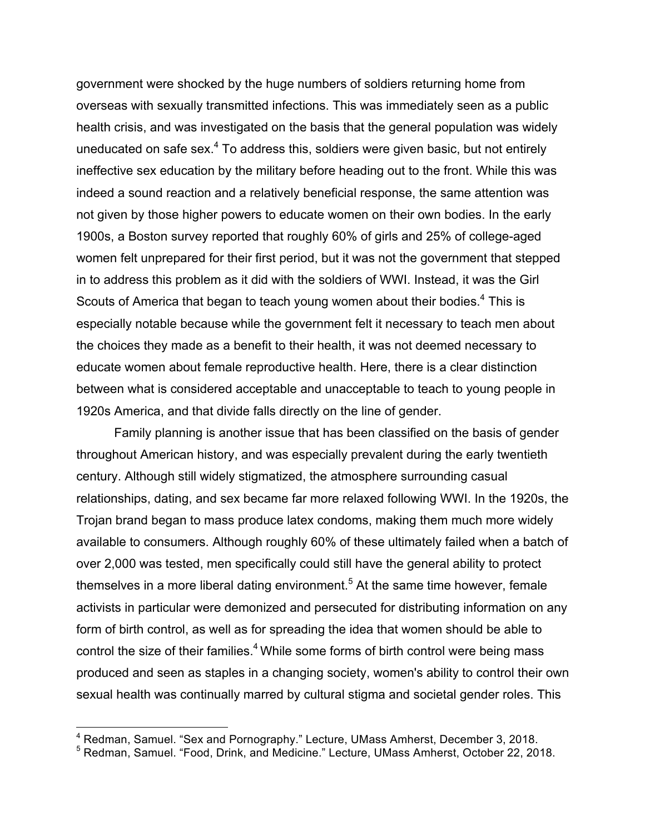government were shocked by the huge numbers of soldiers returning home from overseas with sexually transmitted infections. This was immediately seen as a public health crisis, and was investigated on the basis that the general population was widely uneducated on safe sex.<sup>4</sup> To address this, soldiers were given basic, but not entirely ineffective sex education by the military before heading out to the front. While this was indeed a sound reaction and a relatively beneficial response, the same attention was not given by those higher powers to educate women on their own bodies. In the early 1900s, a Boston survey reported that roughly 60% of girls and 25% of college-aged women felt unprepared for their first period, but it was not the government that stepped in to address this problem as it did with the soldiers of WWI. Instead, it was the Girl Scouts of America that began to teach young women about their bodies.<sup>4</sup> This is especially notable because while the government felt it necessary to teach men about the choices they made as a benefit to their health, it was not deemed necessary to educate women about female reproductive health. Here, there is a clear distinction between what is considered acceptable and unacceptable to teach to young people in 1920s America, and that divide falls directly on the line of gender.

Family planning is another issue that has been classified on the basis of gender throughout American history, and was especially prevalent during the early twentieth century. Although still widely stigmatized, the atmosphere surrounding casual relationships, dating, and sex became far more relaxed following WWI. In the 1920s, the Trojan brand began to mass produce latex condoms, making them much more widely available to consumers. Although roughly 60% of these ultimately failed when a batch of over 2,000 was tested, men specifically could still have the general ability to protect themselves in a more liberal dating environment.<sup>5</sup> At the same time however, female activists in particular were demonized and persecuted for distributing information on any form of birth control, as well as for spreading the idea that women should be able to control the size of their families. $4$  While some forms of birth control were being mass produced and seen as staples in a changing society, women's ability to control their own sexual health was continually marred by cultural stigma and societal gender roles. This

 <sup>4</sup> Redman, Samuel. "Sex and Pornography." Lecture, UMass Amherst, December 3, 2018.

<sup>5</sup> Redman, Samuel. "Food, Drink, and Medicine." Lecture, UMass Amherst, October 22, 2018.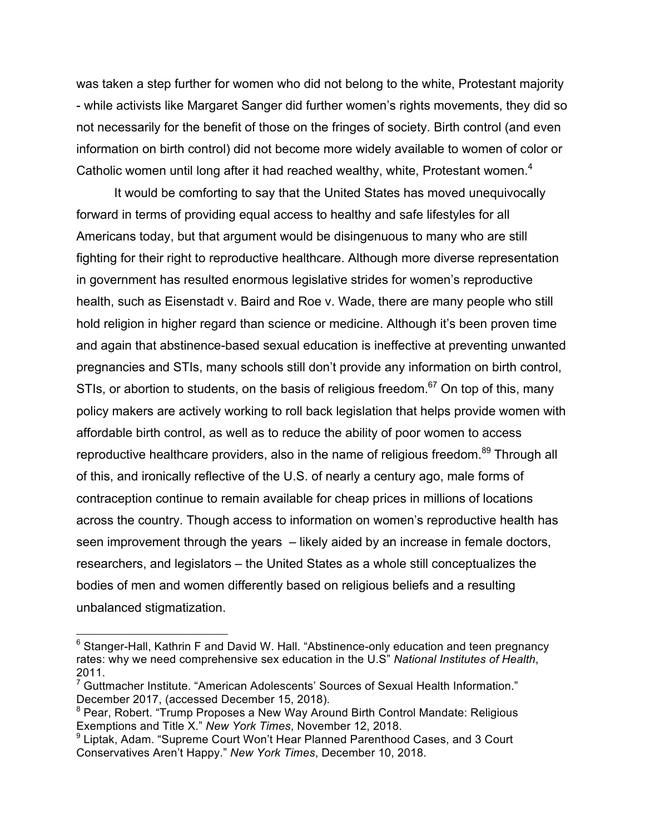was taken a step further for women who did not belong to the white, Protestant majority - while activists like Margaret Sanger did further women's rights movements, they did so not necessarily for the benefit of those on the fringes of society. Birth control (and even information on birth control) did not become more widely available to women of color or Catholic women until long after it had reached wealthy, white, Protestant women.<sup>4</sup>

It would be comforting to say that the United States has moved unequivocally forward in terms of providing equal access to healthy and safe lifestyles for all Americans today, but that argument would be disingenuous to many who are still fighting for their right to reproductive healthcare. Although more diverse representation in government has resulted enormous legislative strides for women's reproductive health, such as Eisenstadt v. Baird and Roe v. Wade, there are many people who still hold religion in higher regard than science or medicine. Although it's been proven time and again that abstinence-based sexual education is ineffective at preventing unwanted pregnancies and STIs, many schools still don't provide any information on birth control, STIs, or abortion to students, on the basis of religious freedom.<sup>67</sup> On top of this, many policy makers are actively working to roll back legislation that helps provide women with affordable birth control, as well as to reduce the ability of poor women to access reproductive healthcare providers, also in the name of religious freedom.<sup>89</sup> Through all of this, and ironically reflective of the U.S. of nearly a century ago, male forms of contraception continue to remain available for cheap prices in millions of locations across the country. Though access to information on women's reproductive health has seen improvement through the years – likely aided by an increase in female doctors, researchers, and legislators – the United States as a whole still conceptualizes the bodies of men and women differently based on religious beliefs and a resulting unbalanced stigmatization.

 $6$  Stanger-Hall, Kathrin F and David W. Hall. "Abstinence-only education and teen pregnancy rates: why we need comprehensive sex education in the U.S" *National Institutes of Health*, 2011.<br><sup>7</sup> Guttmacher Institute. "American Adolescents' Sources of Sexual Health Information."

December 2017, (accessed December 15, 2018).<br><sup>8</sup> Pear, Robert. "Trump Proposes a New Way Around Birth Control Mandate: Religious

Exemptions and Title X." *New York Times*, November 12, 2018.

<sup>&</sup>lt;sup>9</sup> Liptak, Adam. "Supreme Court Won't Hear Planned Parenthood Cases, and 3 Court Conservatives Aren't Happy." *New York Times*, December 10, 2018.